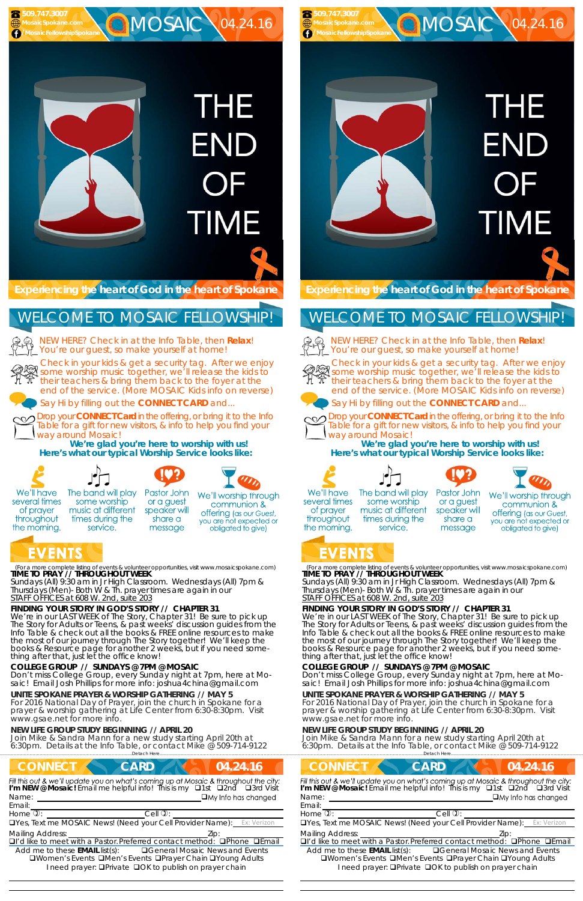(For a more complete listing of events & volunteer opportunities, visit www.mosaicspokane.com) **TIME TO PRAY // THROUGHOUT WEEK** 

We're in our LAST WEEK of The Story, Chapter 31! Be sure to pick up The Story for Adults or Teens, & past weeks' discussion guides from the Info Table & check out all the books & FREE online resources to make the most of our journey through The Story together! We'll keep the books & Resource page for another 2 weeks, but if you need something after that, just let the office know!



**C**MOSAIC 04.24.16

*Sundays* (All) 9:30 am in Jr High Classroom. *Wednesdays* (All) 7pm & *Thursdays* (Men)- Both W & Th. prayer times are again in our *STAFF OFFICES at 608 W. 2nd, suite 203*

# **FINDING YOUR STORY IN GOD'S STORY // CHAPTER 31**

NEW HERE? Check in at the Info Table, then **Relax**! You're our guest, so make yourself at home!

#### **COLLEGE GROUP // SUNDAYS @ 7PM @ MOSAIC**

Don't miss College Group, every Sunday night at 7pm, here at Mosaic! Email Josh Phillips for more info: joshua4china@gmail.com

## **UNITE SPOKANE PRAYER & WORSHIP GATHERING // MAY 5**

For 2016 National Day of Prayer, join the church in Spokane for a prayer & worship gathering at Life Center from 6:30-8:30pm. Visit www.gsae.net for more info.

# **NEW LIFE GROUP STUDY BEGINNING // APRIL 20**

Join Mike & Sandra Mann for a new study starting April 20th at 6:30pm. Details at the Info Table, or contact Mike @ 509-714-9122

……………………….……………………………………………………….Detach Here……………………………………………..…………………………………

# **CONNECT CARD 24.24.16** *Fill this out & we'll update you on what's coming up at Mosaic & throughout the city:***<br><b>I'm NEW @ Mosaic!** Email me helpful info! This is my **Q1st Q2nd Q3rd Visit** Name:  $\square$  My Info has changed Email:  $H$ ome  $\mathbb{D}$ :  $\qquad \qquad$  Cell  $\mathbb{D}$ : Yes, Text me MOSAIC News! (Need your Cell Provider Name): Ex: Verizon Mailing Address:  $\Box$ I'd like to meet with a Pastor. Preferred contact method:  $\Box$ Phone  $\Box$ Email Add me to these **EMAIL** list(s): General Mosaic News and Events **QWomen's Events QMen's Events QPrayer Chain QYoung Adults** I need prayer: **O**Private **O**OK to publish on prayer chain

**Experiencing the heart of God in the heart of Spokane** 

# WELCOME TO MOSAIC FELLOWSHIP!



We're in our LAST WEEK of The Story, Chapter 31! Be sure to pick up The Story for Adults or Teens, & past weeks' discussion guides from the Info Table & check out all the books & FREE online resources to make the most of our journey through The Story together! We'll keep the books & Resource page for another 2 weeks, but if you need something after that, just let the office know!

Check in your kids & get a security tag. After we enjoy Streck in your kids & get a security tag. After we enjoy<br>Some worship music together, we'll release the kids to their teachers & bring them back to the foyer at the end of the service. (More MOSAIC Kids info on reverse)







# **THE** END **TIME**

Say Hi by filling out the **CONNECT CARD** and...

Drop your **CONNECT Card** in the offering, or bring it to the Info Table for a gift for new visitors, & info to help you find your way around Mosaic!

**We're glad you're here to worship with us! Here's what our typical Worship Service looks like:** 



several times

of prayer

throughout

the morning.

NEW HERE? Check in at the Info Table, then **Relax**! You're our guest, so make yourself at home!





The band will play

service.



message



We'll worship through communion & **offering** (as our Guest, you are not expected or obligated to give)

# **EVENTS**

(For a more complete listing of events & volunteer opportunities, visit www.mosaicspokane.com) **TIME TO PRAY // THROUGHOUT WEEK** 

*Sundays* (All) 9:30 am in Jr High Classroom. *Wednesdays* (All) 7pm & *Thursdays* (Men)- Both W & Th. prayer times are again in our *STAFF OFFICES at 608 W. 2nd, suite 203*

# **FINDING YOUR STORY IN GOD'S STORY // CHAPTER 31**

#### **COLLEGE GROUP // SUNDAYS @ 7PM @ MOSAIC**

Don't miss College Group, every Sunday night at 7pm, here at Mosaic! Email Josh Phillips for more info: joshua4china@gmail.com

### **UNITE SPOKANE PRAYER & WORSHIP GATHERING // MAY 5**

For 2016 National Day of Prayer, join the church in Spokane for a prayer & worship gathering at Life Center from 6:30-8:30pm. Visit www.gsae.net for more info.

## **NEW LIFE GROUP STUDY BEGINNING // APRIL 20**

Join Mike & Sandra Mann for a new study starting April 20th at 6:30pm. Details at the Info Table, or contact Mike @ 509-714-9122

**Experiencing the heart of God in the heart of Spokane** 

# WELCOME TO MOSAIC FELLOWSHIP!



Check in your kids & get a security tag. After we enjoy some worship music together, we'll release the kids to their teachers & bring them back to the foyer at the end of the service. (More MOSAIC Kids info on reverse)



Say Hi by filling out the **CONNECT CARD** and...



Drop your **CONNECT Card** in the offering, or bring it to the Info Table for a gift for new visitors, & info to help you find your way around Mosaic!

| Detach Here |                                                                                                                                                                                     |
|-------------|-------------------------------------------------------------------------------------------------------------------------------------------------------------------------------------|
|             | 04.24.16                                                                                                                                                                            |
|             | Fill this out & we'll update you on what's coming up at Mosaic & throughout the city:<br>I'm NEW @ Mosaic! Email me helpful info! This is my $\Box$ 1st $\Box$ 2nd $\Box$ 3rd Visit |
|             | $\Box$ My Info has changed                                                                                                                                                          |
|             |                                                                                                                                                                                     |
| $Cell$ $Q$  |                                                                                                                                                                                     |
|             | <b>OYes, Text me MOSAIC News! (Need your Cell Provider Name):</b> Ex: Verizon                                                                                                       |
|             | Zip:                                                                                                                                                                                |
|             | □I'd like to meet with a Pastor Preferred contact method: □Phone □Email                                                                                                             |
|             | <b>Q</b> General Mosaic News and Events<br>□Women's Events □Men's Events □Prayer Chain □Young Adults                                                                                |
|             | <b>CARD</b><br>I need prayer: <b>QPrivate QOK to publish on prayer chain</b>                                                                                                        |

**We're glad you're here to worship with us! Here's what our typical Worship Service looks like:** 











We'll have several times of prayer throughout the morning.

 **509.747.3007 MosaicSpokane.com /MosaicFellowshipSpokane**

The band will play some worship music at different times during the service.

Pastor John or a guest speaker will share a message



# EVENTS